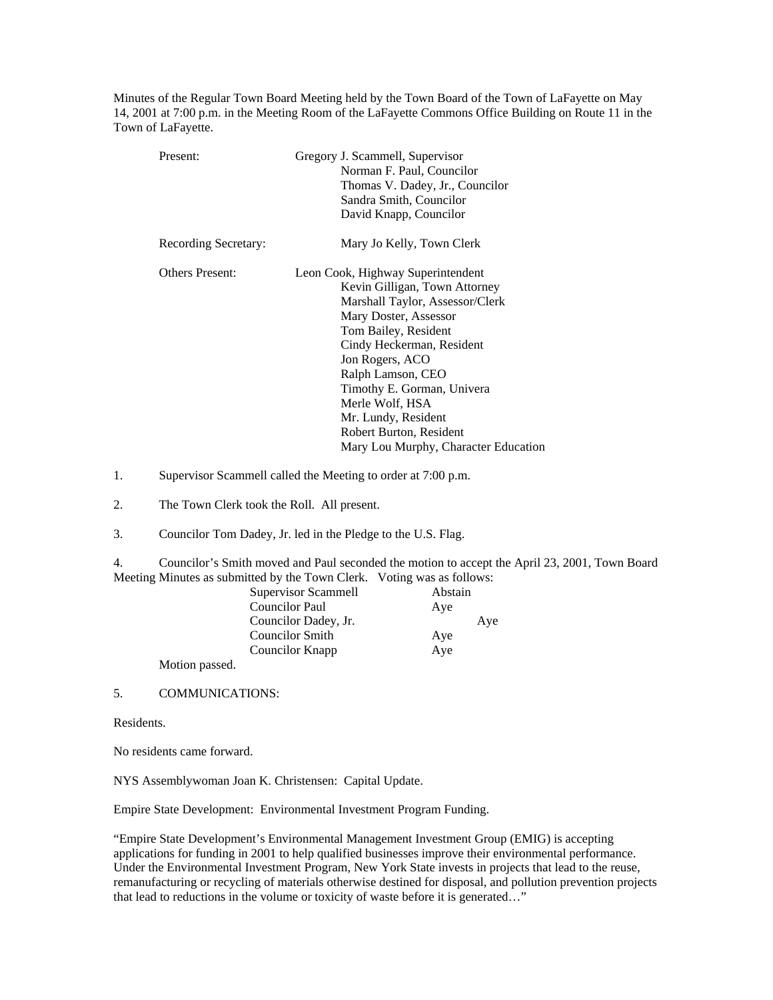Minutes of the Regular Town Board Meeting held by the Town Board of the Town of LaFayette on May 14, 2001 at 7:00 p.m. in the Meeting Room of the LaFayette Commons Office Building on Route 11 in the Town of LaFayette.

| Present:               | Gregory J. Scammell, Supervisor<br>Norman F. Paul, Councilor<br>Thomas V. Dadey, Jr., Councilor<br>Sandra Smith, Councilor<br>David Knapp, Councilor                                                                                                                                                                                                                   |
|------------------------|------------------------------------------------------------------------------------------------------------------------------------------------------------------------------------------------------------------------------------------------------------------------------------------------------------------------------------------------------------------------|
| Recording Secretary:   | Mary Jo Kelly, Town Clerk                                                                                                                                                                                                                                                                                                                                              |
| <b>Others Present:</b> | Leon Cook, Highway Superintendent<br>Kevin Gilligan, Town Attorney<br>Marshall Taylor, Assessor/Clerk<br>Mary Doster, Assessor<br>Tom Bailey, Resident<br>Cindy Heckerman, Resident<br>Jon Rogers, ACO<br>Ralph Lamson, CEO<br>Timothy E. Gorman, Univera<br>Merle Wolf, HSA<br>Mr. Lundy, Resident<br>Robert Burton, Resident<br>Mary Lou Murphy, Character Education |

1. Supervisor Scammell called the Meeting to order at 7:00 p.m.

2. The Town Clerk took the Roll. All present.

3. Councilor Tom Dadey, Jr. led in the Pledge to the U.S. Flag.

4. Councilor's Smith moved and Paul seconded the motion to accept the April 23, 2001, Town Board Meeting Minutes as submitted by the Town Clerk. Voting was as follows:

| Supervisor Scammell    | Abstain |
|------------------------|---------|
| <b>Councilor Paul</b>  | Ave     |
| Councilor Dadey, Jr.   | Aye     |
| <b>Councilor Smith</b> | Aye     |
| Councilor Knapp        | Aye     |
| $\blacksquare$         |         |

Motion passed.

5. COMMUNICATIONS:

Residents.

No residents came forward.

NYS Assemblywoman Joan K. Christensen: Capital Update.

Empire State Development: Environmental Investment Program Funding.

"Empire State Development's Environmental Management Investment Group (EMIG) is accepting applications for funding in 2001 to help qualified businesses improve their environmental performance. Under the Environmental Investment Program, New York State invests in projects that lead to the reuse, remanufacturing or recycling of materials otherwise destined for disposal, and pollution prevention projects that lead to reductions in the volume or toxicity of waste before it is generated…"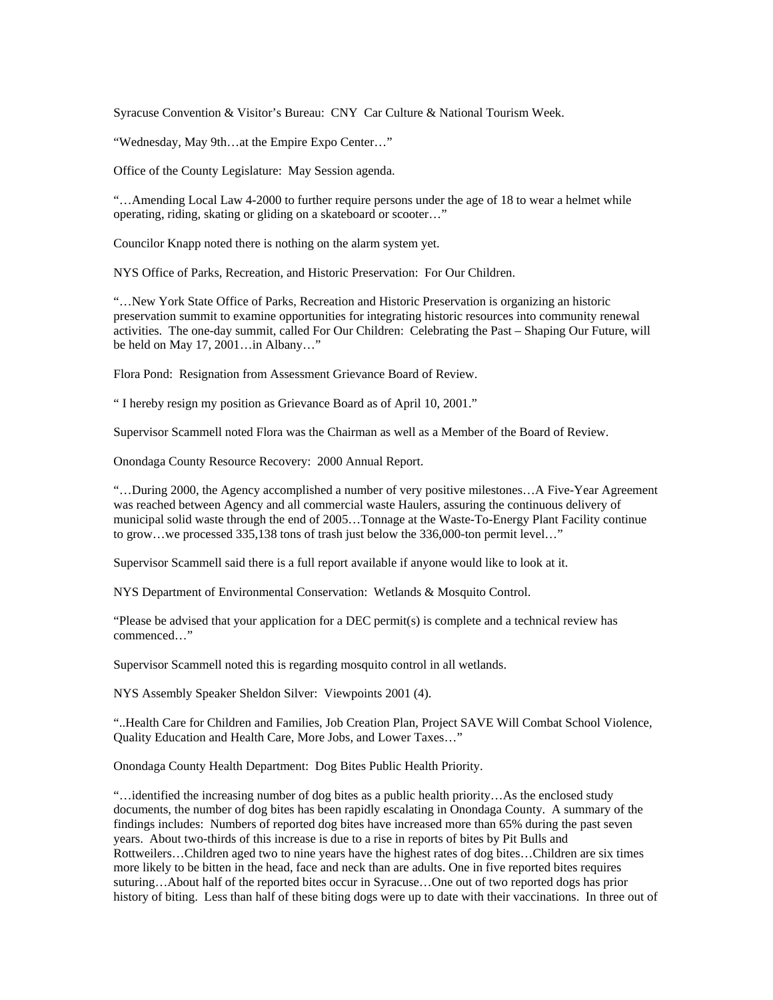Syracuse Convention & Visitor's Bureau: CNY Car Culture & National Tourism Week.

"Wednesday, May 9th…at the Empire Expo Center…"

Office of the County Legislature: May Session agenda.

"…Amending Local Law 4-2000 to further require persons under the age of 18 to wear a helmet while operating, riding, skating or gliding on a skateboard or scooter…"

Councilor Knapp noted there is nothing on the alarm system yet.

NYS Office of Parks, Recreation, and Historic Preservation: For Our Children.

"…New York State Office of Parks, Recreation and Historic Preservation is organizing an historic preservation summit to examine opportunities for integrating historic resources into community renewal activities. The one-day summit, called For Our Children: Celebrating the Past – Shaping Our Future, will be held on May 17, 2001…in Albany…"

Flora Pond: Resignation from Assessment Grievance Board of Review.

" I hereby resign my position as Grievance Board as of April 10, 2001."

Supervisor Scammell noted Flora was the Chairman as well as a Member of the Board of Review.

Onondaga County Resource Recovery: 2000 Annual Report.

"…During 2000, the Agency accomplished a number of very positive milestones…A Five-Year Agreement was reached between Agency and all commercial waste Haulers, assuring the continuous delivery of municipal solid waste through the end of 2005…Tonnage at the Waste-To-Energy Plant Facility continue to grow…we processed 335,138 tons of trash just below the 336,000-ton permit level…"

Supervisor Scammell said there is a full report available if anyone would like to look at it.

NYS Department of Environmental Conservation: Wetlands & Mosquito Control.

"Please be advised that your application for a DEC permit(s) is complete and a technical review has commenced…"

Supervisor Scammell noted this is regarding mosquito control in all wetlands.

NYS Assembly Speaker Sheldon Silver: Viewpoints 2001 (4).

"..Health Care for Children and Families, Job Creation Plan, Project SAVE Will Combat School Violence, Quality Education and Health Care, More Jobs, and Lower Taxes…"

Onondaga County Health Department: Dog Bites Public Health Priority.

"…identified the increasing number of dog bites as a public health priority…As the enclosed study documents, the number of dog bites has been rapidly escalating in Onondaga County. A summary of the findings includes: Numbers of reported dog bites have increased more than 65% during the past seven years. About two-thirds of this increase is due to a rise in reports of bites by Pit Bulls and Rottweilers…Children aged two to nine years have the highest rates of dog bites…Children are six times more likely to be bitten in the head, face and neck than are adults. One in five reported bites requires suturing…About half of the reported bites occur in Syracuse…One out of two reported dogs has prior history of biting. Less than half of these biting dogs were up to date with their vaccinations. In three out of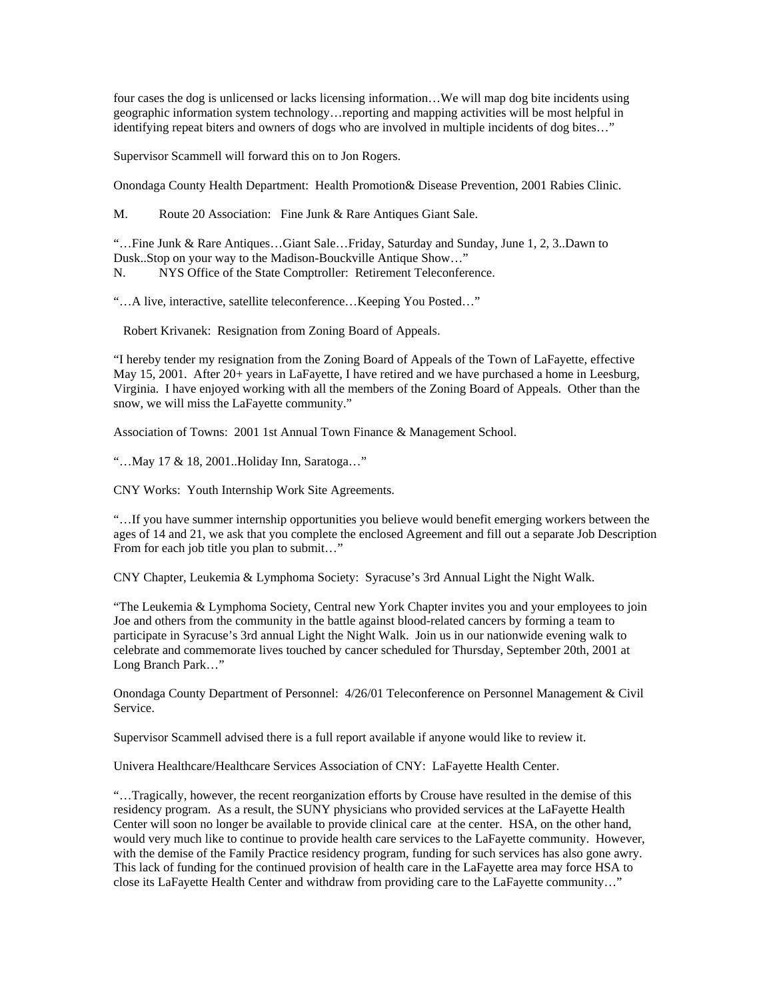four cases the dog is unlicensed or lacks licensing information…We will map dog bite incidents using geographic information system technology…reporting and mapping activities will be most helpful in identifying repeat biters and owners of dogs who are involved in multiple incidents of dog bites…"

Supervisor Scammell will forward this on to Jon Rogers.

Onondaga County Health Department: Health Promotion& Disease Prevention, 2001 Rabies Clinic.

M. Route 20 Association: Fine Junk & Rare Antiques Giant Sale.

"…Fine Junk & Rare Antiques…Giant Sale…Friday, Saturday and Sunday, June 1, 2, 3..Dawn to Dusk..Stop on your way to the Madison-Bouckville Antique Show…" N. NYS Office of the State Comptroller: Retirement Teleconference.

"…A live, interactive, satellite teleconference…Keeping You Posted…"

Robert Krivanek: Resignation from Zoning Board of Appeals.

"I hereby tender my resignation from the Zoning Board of Appeals of the Town of LaFayette, effective May 15, 2001. After 20+ years in LaFayette, I have retired and we have purchased a home in Leesburg, Virginia. I have enjoyed working with all the members of the Zoning Board of Appeals. Other than the snow, we will miss the LaFayette community."

Association of Towns: 2001 1st Annual Town Finance & Management School.

"…May 17 & 18, 2001..Holiday Inn, Saratoga…"

CNY Works: Youth Internship Work Site Agreements.

"…If you have summer internship opportunities you believe would benefit emerging workers between the ages of 14 and 21, we ask that you complete the enclosed Agreement and fill out a separate Job Description From for each job title you plan to submit…"

CNY Chapter, Leukemia & Lymphoma Society: Syracuse's 3rd Annual Light the Night Walk.

"The Leukemia & Lymphoma Society, Central new York Chapter invites you and your employees to join Joe and others from the community in the battle against blood-related cancers by forming a team to participate in Syracuse's 3rd annual Light the Night Walk. Join us in our nationwide evening walk to celebrate and commemorate lives touched by cancer scheduled for Thursday, September 20th, 2001 at Long Branch Park…"

Onondaga County Department of Personnel: 4/26/01 Teleconference on Personnel Management & Civil Service.

Supervisor Scammell advised there is a full report available if anyone would like to review it.

Univera Healthcare/Healthcare Services Association of CNY: LaFayette Health Center.

"…Tragically, however, the recent reorganization efforts by Crouse have resulted in the demise of this residency program. As a result, the SUNY physicians who provided services at the LaFayette Health Center will soon no longer be available to provide clinical care at the center. HSA, on the other hand, would very much like to continue to provide health care services to the LaFayette community. However, with the demise of the Family Practice residency program, funding for such services has also gone awry. This lack of funding for the continued provision of health care in the LaFayette area may force HSA to close its LaFayette Health Center and withdraw from providing care to the LaFayette community…"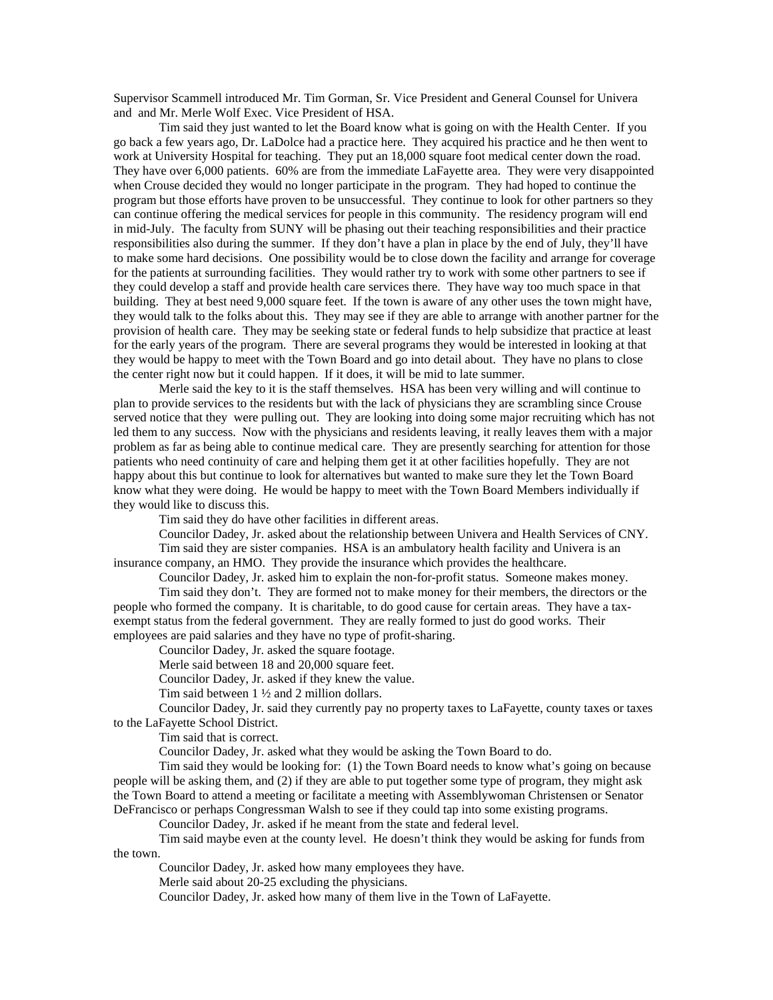Supervisor Scammell introduced Mr. Tim Gorman, Sr. Vice President and General Counsel for Univera and and Mr. Merle Wolf Exec. Vice President of HSA.

 Tim said they just wanted to let the Board know what is going on with the Health Center. If you go back a few years ago, Dr. LaDolce had a practice here. They acquired his practice and he then went to work at University Hospital for teaching. They put an 18,000 square foot medical center down the road. They have over 6,000 patients. 60% are from the immediate LaFayette area. They were very disappointed when Crouse decided they would no longer participate in the program. They had hoped to continue the program but those efforts have proven to be unsuccessful. They continue to look for other partners so they can continue offering the medical services for people in this community. The residency program will end in mid-July. The faculty from SUNY will be phasing out their teaching responsibilities and their practice responsibilities also during the summer. If they don't have a plan in place by the end of July, they'll have to make some hard decisions. One possibility would be to close down the facility and arrange for coverage for the patients at surrounding facilities. They would rather try to work with some other partners to see if they could develop a staff and provide health care services there. They have way too much space in that building. They at best need 9,000 square feet. If the town is aware of any other uses the town might have, they would talk to the folks about this. They may see if they are able to arrange with another partner for the provision of health care. They may be seeking state or federal funds to help subsidize that practice at least for the early years of the program. There are several programs they would be interested in looking at that they would be happy to meet with the Town Board and go into detail about. They have no plans to close the center right now but it could happen. If it does, it will be mid to late summer.

 Merle said the key to it is the staff themselves. HSA has been very willing and will continue to plan to provide services to the residents but with the lack of physicians they are scrambling since Crouse served notice that they were pulling out. They are looking into doing some major recruiting which has not led them to any success. Now with the physicians and residents leaving, it really leaves them with a major problem as far as being able to continue medical care. They are presently searching for attention for those patients who need continuity of care and helping them get it at other facilities hopefully. They are not happy about this but continue to look for alternatives but wanted to make sure they let the Town Board know what they were doing. He would be happy to meet with the Town Board Members individually if they would like to discuss this.

Tim said they do have other facilities in different areas.

 Councilor Dadey, Jr. asked about the relationship between Univera and Health Services of CNY. Tim said they are sister companies. HSA is an ambulatory health facility and Univera is an

insurance company, an HMO. They provide the insurance which provides the healthcare.

Councilor Dadey, Jr. asked him to explain the non-for-profit status. Someone makes money.

 Tim said they don't. They are formed not to make money for their members, the directors or the people who formed the company. It is charitable, to do good cause for certain areas. They have a taxexempt status from the federal government. They are really formed to just do good works. Their employees are paid salaries and they have no type of profit-sharing.

Councilor Dadey, Jr. asked the square footage.

Merle said between 18 and 20,000 square feet.

Councilor Dadey, Jr. asked if they knew the value.

Tim said between 1 ½ and 2 million dollars.

 Councilor Dadey, Jr. said they currently pay no property taxes to LaFayette, county taxes or taxes to the LaFayette School District.

Tim said that is correct.

Councilor Dadey, Jr. asked what they would be asking the Town Board to do.

 Tim said they would be looking for: (1) the Town Board needs to know what's going on because people will be asking them, and (2) if they are able to put together some type of program, they might ask the Town Board to attend a meeting or facilitate a meeting with Assemblywoman Christensen or Senator DeFrancisco or perhaps Congressman Walsh to see if they could tap into some existing programs.

Councilor Dadey, Jr. asked if he meant from the state and federal level.

 Tim said maybe even at the county level. He doesn't think they would be asking for funds from the town.

Councilor Dadey, Jr. asked how many employees they have.

Merle said about 20-25 excluding the physicians.

Councilor Dadey, Jr. asked how many of them live in the Town of LaFayette.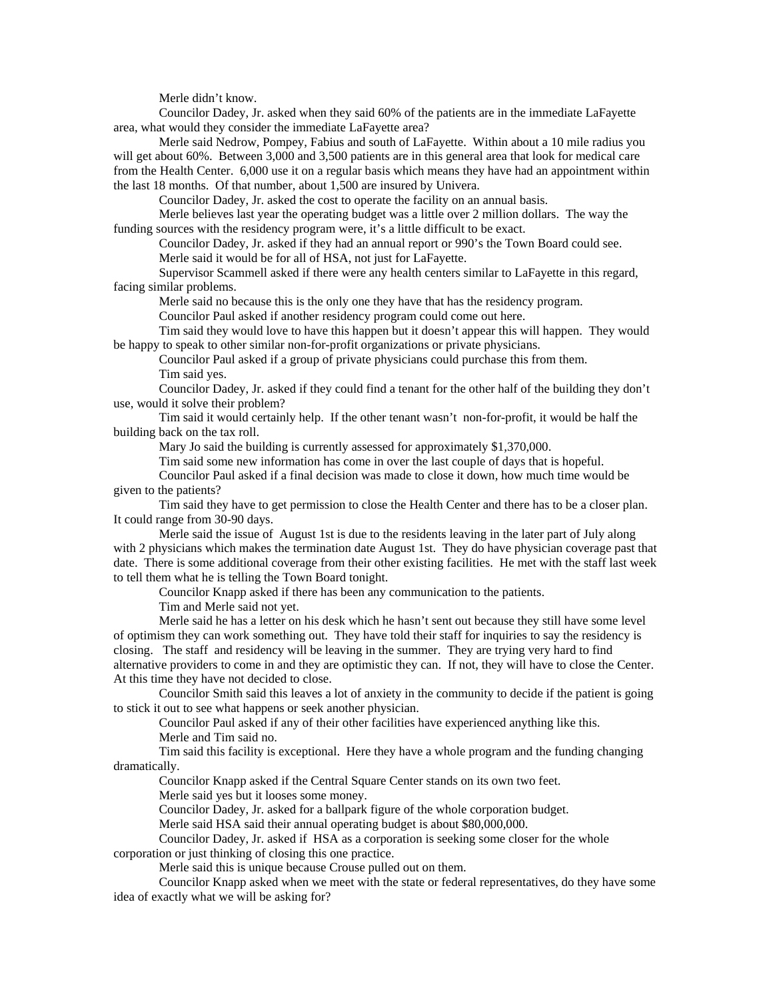Merle didn't know.

 Councilor Dadey, Jr. asked when they said 60% of the patients are in the immediate LaFayette area, what would they consider the immediate LaFayette area?

 Merle said Nedrow, Pompey, Fabius and south of LaFayette. Within about a 10 mile radius you will get about 60%. Between 3,000 and 3,500 patients are in this general area that look for medical care from the Health Center. 6,000 use it on a regular basis which means they have had an appointment within the last 18 months. Of that number, about 1,500 are insured by Univera.

Councilor Dadey, Jr. asked the cost to operate the facility on an annual basis.

 Merle believes last year the operating budget was a little over 2 million dollars. The way the funding sources with the residency program were, it's a little difficult to be exact.

Councilor Dadey, Jr. asked if they had an annual report or 990's the Town Board could see.

Merle said it would be for all of HSA, not just for LaFayette.

 Supervisor Scammell asked if there were any health centers similar to LaFayette in this regard, facing similar problems.

Merle said no because this is the only one they have that has the residency program.

Councilor Paul asked if another residency program could come out here.

 Tim said they would love to have this happen but it doesn't appear this will happen. They would be happy to speak to other similar non-for-profit organizations or private physicians.

 Councilor Paul asked if a group of private physicians could purchase this from them. Tim said yes.

 Councilor Dadey, Jr. asked if they could find a tenant for the other half of the building they don't use, would it solve their problem?

 Tim said it would certainly help. If the other tenant wasn't non-for-profit, it would be half the building back on the tax roll.

Mary Jo said the building is currently assessed for approximately \$1,370,000.

Tim said some new information has come in over the last couple of days that is hopeful.

 Councilor Paul asked if a final decision was made to close it down, how much time would be given to the patients?

 Tim said they have to get permission to close the Health Center and there has to be a closer plan. It could range from 30-90 days.

 Merle said the issue of August 1st is due to the residents leaving in the later part of July along with 2 physicians which makes the termination date August 1st. They do have physician coverage past that date. There is some additional coverage from their other existing facilities. He met with the staff last week to tell them what he is telling the Town Board tonight.

Councilor Knapp asked if there has been any communication to the patients.

Tim and Merle said not yet.

 Merle said he has a letter on his desk which he hasn't sent out because they still have some level of optimism they can work something out. They have told their staff for inquiries to say the residency is closing. The staff and residency will be leaving in the summer. They are trying very hard to find alternative providers to come in and they are optimistic they can. If not, they will have to close the Center. At this time they have not decided to close.

 Councilor Smith said this leaves a lot of anxiety in the community to decide if the patient is going to stick it out to see what happens or seek another physician.

 Councilor Paul asked if any of their other facilities have experienced anything like this. Merle and Tim said no.

 Tim said this facility is exceptional. Here they have a whole program and the funding changing dramatically.

Councilor Knapp asked if the Central Square Center stands on its own two feet.

Merle said yes but it looses some money.

Councilor Dadey, Jr. asked for a ballpark figure of the whole corporation budget.

Merle said HSA said their annual operating budget is about \$80,000,000.

Councilor Dadey, Jr. asked if HSA as a corporation is seeking some closer for the whole

corporation or just thinking of closing this one practice.

Merle said this is unique because Crouse pulled out on them.

 Councilor Knapp asked when we meet with the state or federal representatives, do they have some idea of exactly what we will be asking for?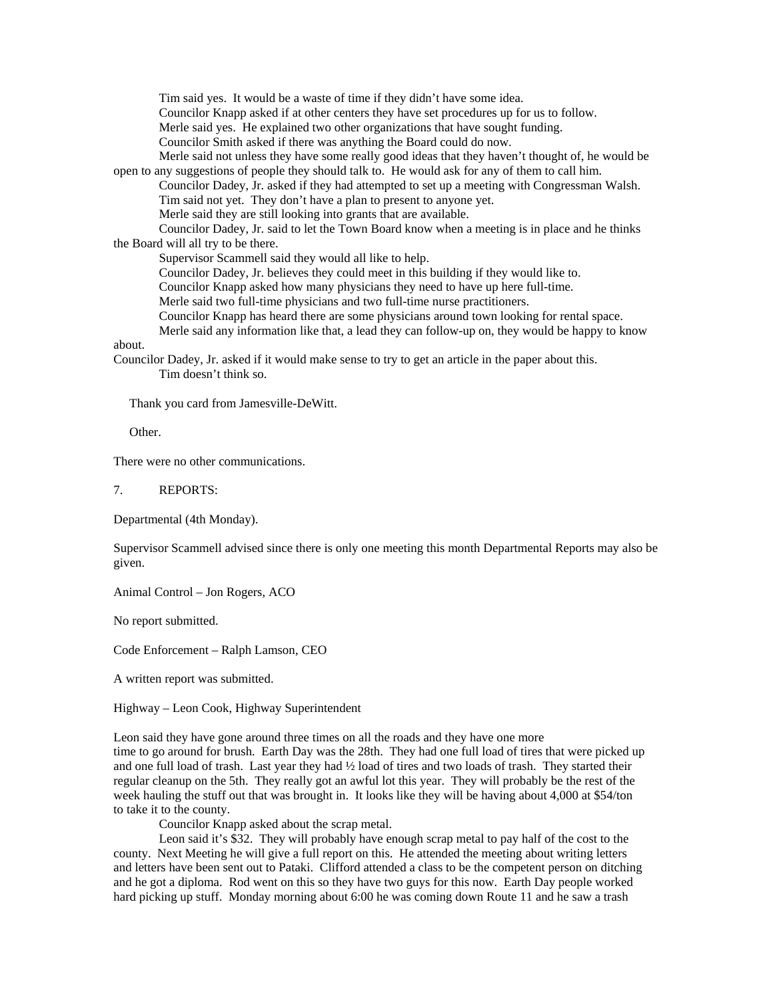Tim said yes. It would be a waste of time if they didn't have some idea.

Councilor Knapp asked if at other centers they have set procedures up for us to follow.

Merle said yes. He explained two other organizations that have sought funding.

Councilor Smith asked if there was anything the Board could do now.

 Merle said not unless they have some really good ideas that they haven't thought of, he would be open to any suggestions of people they should talk to. He would ask for any of them to call him.

 Councilor Dadey, Jr. asked if they had attempted to set up a meeting with Congressman Walsh. Tim said not yet. They don't have a plan to present to anyone yet.

Merle said they are still looking into grants that are available.

 Councilor Dadey, Jr. said to let the Town Board know when a meeting is in place and he thinks the Board will all try to be there.

Supervisor Scammell said they would all like to help.

Councilor Dadey, Jr. believes they could meet in this building if they would like to.

Councilor Knapp asked how many physicians they need to have up here full-time.

Merle said two full-time physicians and two full-time nurse practitioners.

Councilor Knapp has heard there are some physicians around town looking for rental space.

Merle said any information like that, a lead they can follow-up on, they would be happy to know

about.

Councilor Dadey, Jr. asked if it would make sense to try to get an article in the paper about this. Tim doesn't think so.

Thank you card from Jamesville-DeWitt.

Other.

There were no other communications.

7. REPORTS:

Departmental (4th Monday).

Supervisor Scammell advised since there is only one meeting this month Departmental Reports may also be given.

Animal Control – Jon Rogers, ACO

No report submitted.

Code Enforcement – Ralph Lamson, CEO

A written report was submitted.

Highway – Leon Cook, Highway Superintendent

Leon said they have gone around three times on all the roads and they have one more time to go around for brush. Earth Day was the 28th. They had one full load of tires that were picked up and one full load of trash. Last year they had ½ load of tires and two loads of trash. They started their regular cleanup on the 5th. They really got an awful lot this year. They will probably be the rest of the week hauling the stuff out that was brought in. It looks like they will be having about 4,000 at \$54/ton to take it to the county.

Councilor Knapp asked about the scrap metal.

 Leon said it's \$32. They will probably have enough scrap metal to pay half of the cost to the county. Next Meeting he will give a full report on this. He attended the meeting about writing letters and letters have been sent out to Pataki. Clifford attended a class to be the competent person on ditching and he got a diploma. Rod went on this so they have two guys for this now. Earth Day people worked hard picking up stuff. Monday morning about 6:00 he was coming down Route 11 and he saw a trash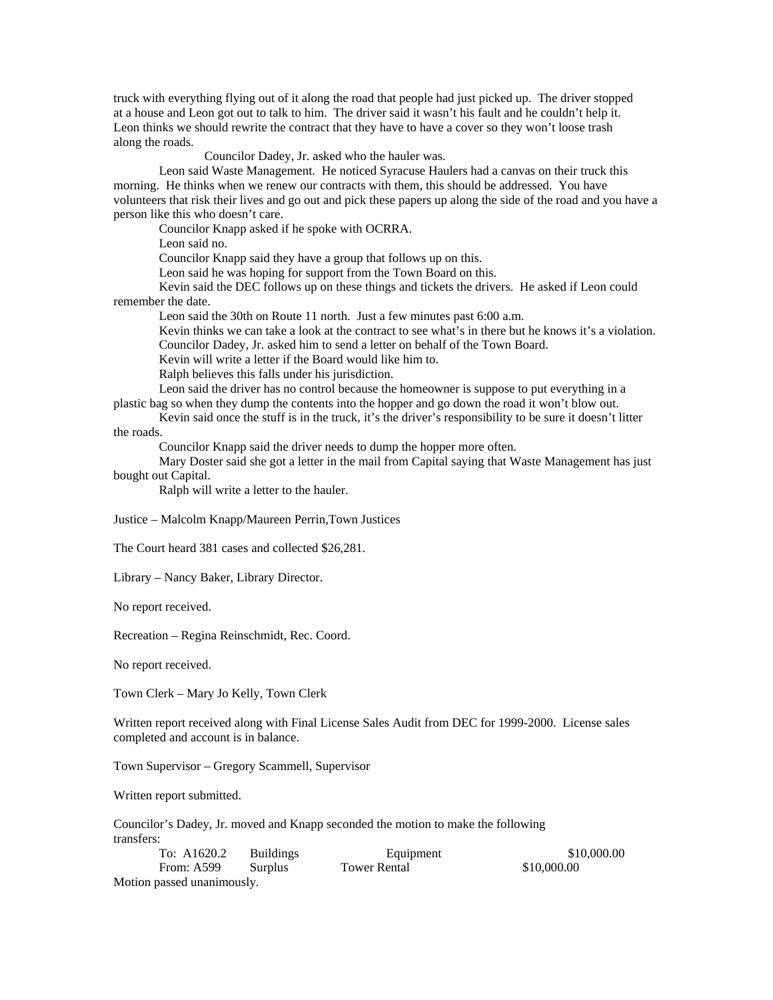truck with everything flying out of it along the road that people had just picked up. The driver stopped at a house and Leon got out to talk to him. The driver said it wasn't his fault and he couldn't help it. Leon thinks we should rewrite the contract that they have to have a cover so they won't loose trash along the roads.

Councilor Dadey, Jr. asked who the hauler was.

 Leon said Waste Management. He noticed Syracuse Haulers had a canvas on their truck this morning. He thinks when we renew our contracts with them, this should be addressed. You have volunteers that risk their lives and go out and pick these papers up along the side of the road and you have a person like this who doesn't care.

Councilor Knapp asked if he spoke with OCRRA.

Leon said no.

Councilor Knapp said they have a group that follows up on this.

Leon said he was hoping for support from the Town Board on this.

 Kevin said the DEC follows up on these things and tickets the drivers. He asked if Leon could remember the date.

Leon said the 30th on Route 11 north. Just a few minutes past 6:00 a.m.

 Kevin thinks we can take a look at the contract to see what's in there but he knows it's a violation. Councilor Dadey, Jr. asked him to send a letter on behalf of the Town Board.

Kevin will write a letter if the Board would like him to.

Ralph believes this falls under his jurisdiction.

 Leon said the driver has no control because the homeowner is suppose to put everything in a plastic bag so when they dump the contents into the hopper and go down the road it won't blow out.

 Kevin said once the stuff is in the truck, it's the driver's responsibility to be sure it doesn't litter the roads.

Councilor Knapp said the driver needs to dump the hopper more often.

 Mary Doster said she got a letter in the mail from Capital saying that Waste Management has just bought out Capital.

Ralph will write a letter to the hauler.

Justice – Malcolm Knapp/Maureen Perrin,Town Justices

The Court heard 381 cases and collected \$26,281.

Library – Nancy Baker, Library Director.

No report received.

Recreation – Regina Reinschmidt, Rec. Coord.

No report received.

Town Clerk – Mary Jo Kelly, Town Clerk

Written report received along with Final License Sales Audit from DEC for 1999-2000. License sales completed and account is in balance.

Town Supervisor – Gregory Scammell, Supervisor

Written report submitted.

Councilor's Dadey, Jr. moved and Knapp seconded the motion to make the following transfers:

| To: A1620.2                | Buildings | Equipment    | \$10,000.00 |
|----------------------------|-----------|--------------|-------------|
| <b>From: A599</b>          | Surplus   | Tower Rental | \$10,000.00 |
| Motion passed unanimously. |           |              |             |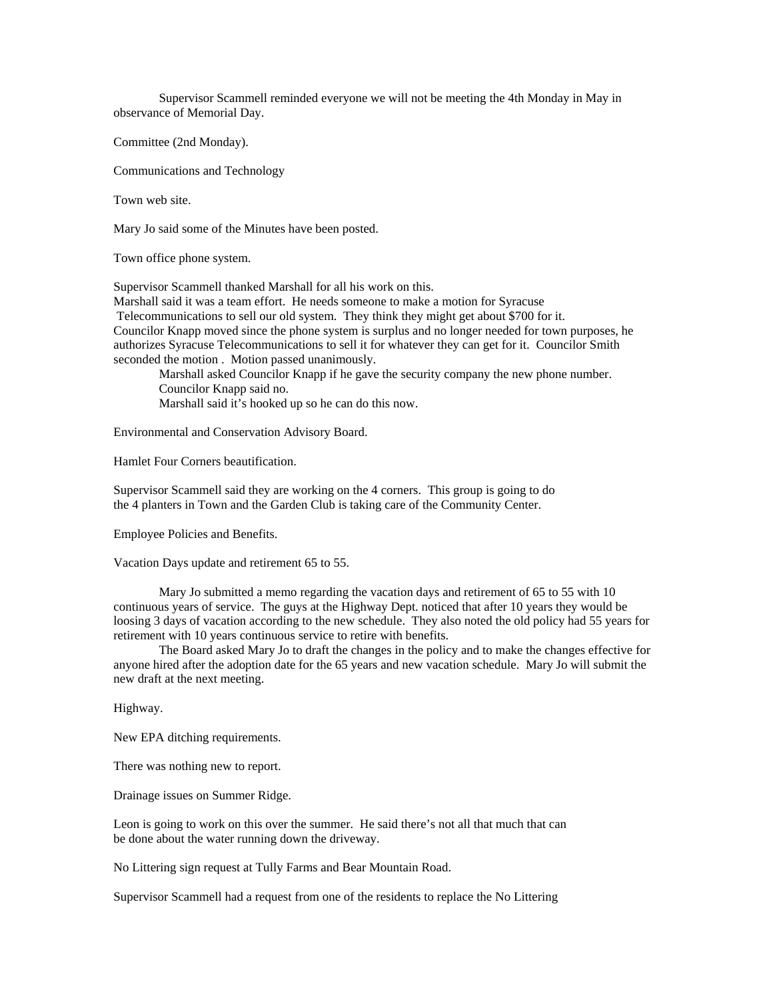Supervisor Scammell reminded everyone we will not be meeting the 4th Monday in May in observance of Memorial Day.

Committee (2nd Monday).

Communications and Technology

Town web site.

Mary Jo said some of the Minutes have been posted.

Town office phone system.

Supervisor Scammell thanked Marshall for all his work on this.

Marshall said it was a team effort. He needs someone to make a motion for Syracuse

Telecommunications to sell our old system. They think they might get about \$700 for it.

Councilor Knapp moved since the phone system is surplus and no longer needed for town purposes, he authorizes Syracuse Telecommunications to sell it for whatever they can get for it. Councilor Smith seconded the motion . Motion passed unanimously.

 Marshall asked Councilor Knapp if he gave the security company the new phone number. Councilor Knapp said no.

Marshall said it's hooked up so he can do this now.

Environmental and Conservation Advisory Board.

Hamlet Four Corners beautification.

Supervisor Scammell said they are working on the 4 corners. This group is going to do the 4 planters in Town and the Garden Club is taking care of the Community Center.

Employee Policies and Benefits.

Vacation Days update and retirement 65 to 55.

 Mary Jo submitted a memo regarding the vacation days and retirement of 65 to 55 with 10 continuous years of service. The guys at the Highway Dept. noticed that after 10 years they would be loosing 3 days of vacation according to the new schedule. They also noted the old policy had 55 years for retirement with 10 years continuous service to retire with benefits.

 The Board asked Mary Jo to draft the changes in the policy and to make the changes effective for anyone hired after the adoption date for the 65 years and new vacation schedule. Mary Jo will submit the new draft at the next meeting.

Highway.

New EPA ditching requirements.

There was nothing new to report.

Drainage issues on Summer Ridge.

Leon is going to work on this over the summer. He said there's not all that much that can be done about the water running down the driveway.

No Littering sign request at Tully Farms and Bear Mountain Road.

Supervisor Scammell had a request from one of the residents to replace the No Littering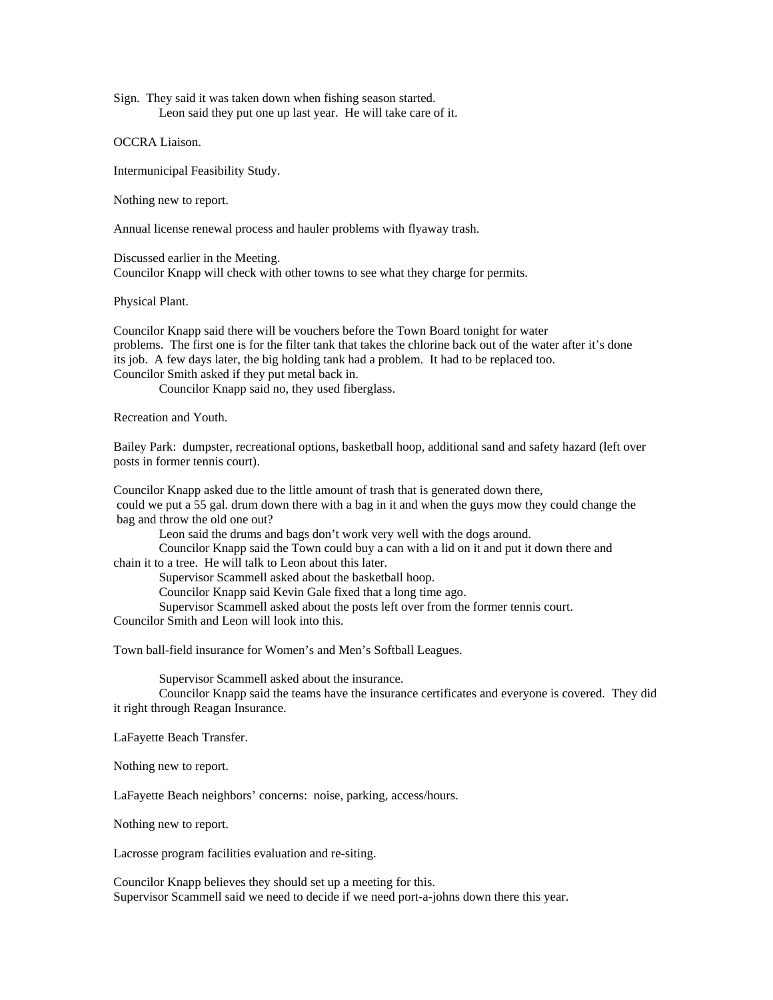Sign. They said it was taken down when fishing season started. Leon said they put one up last year. He will take care of it.

OCCRA Liaison.

Intermunicipal Feasibility Study.

Nothing new to report.

Annual license renewal process and hauler problems with flyaway trash.

Discussed earlier in the Meeting. Councilor Knapp will check with other towns to see what they charge for permits.

Physical Plant.

Councilor Knapp said there will be vouchers before the Town Board tonight for water problems. The first one is for the filter tank that takes the chlorine back out of the water after it's done its job. A few days later, the big holding tank had a problem. It had to be replaced too. Councilor Smith asked if they put metal back in.

Councilor Knapp said no, they used fiberglass.

Recreation and Youth.

Bailey Park: dumpster, recreational options, basketball hoop, additional sand and safety hazard (left over posts in former tennis court).

Councilor Knapp asked due to the little amount of trash that is generated down there, could we put a 55 gal. drum down there with a bag in it and when the guys mow they could change the bag and throw the old one out?

Leon said the drums and bags don't work very well with the dogs around.

 Councilor Knapp said the Town could buy a can with a lid on it and put it down there and chain it to a tree. He will talk to Leon about this later.

Supervisor Scammell asked about the basketball hoop.

Councilor Knapp said Kevin Gale fixed that a long time ago.

Supervisor Scammell asked about the posts left over from the former tennis court.

Councilor Smith and Leon will look into this.

Town ball-field insurance for Women's and Men's Softball Leagues.

Supervisor Scammell asked about the insurance.

 Councilor Knapp said the teams have the insurance certificates and everyone is covered. They did it right through Reagan Insurance.

LaFayette Beach Transfer.

Nothing new to report.

LaFayette Beach neighbors' concerns: noise, parking, access/hours.

Nothing new to report.

Lacrosse program facilities evaluation and re-siting.

Councilor Knapp believes they should set up a meeting for this. Supervisor Scammell said we need to decide if we need port-a-johns down there this year.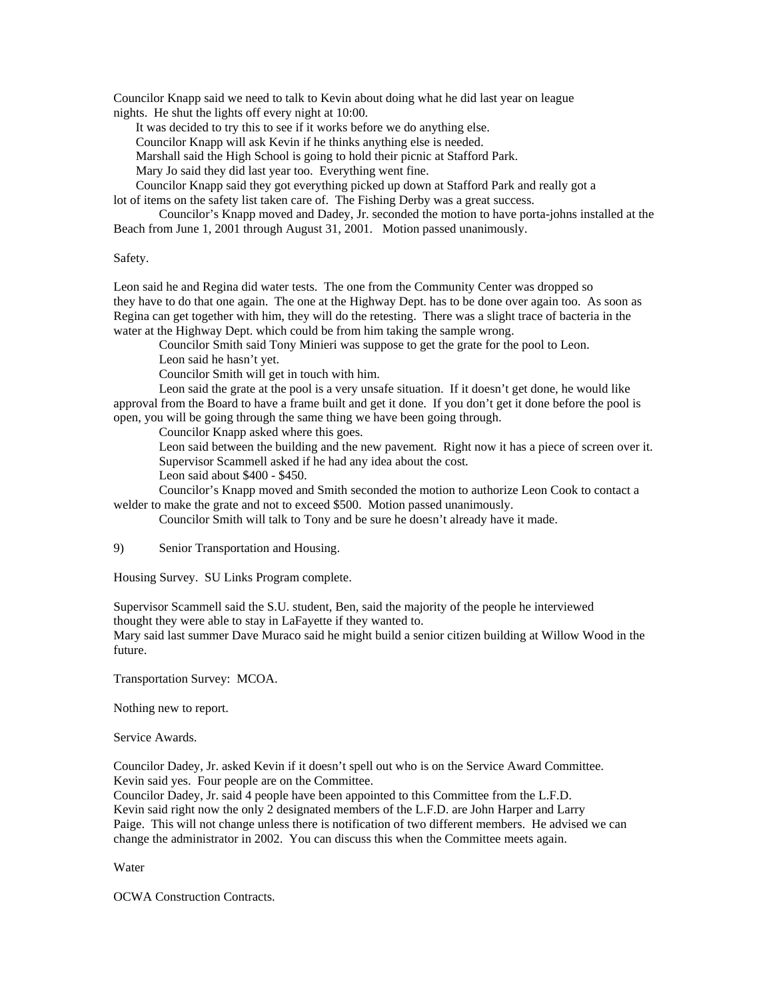Councilor Knapp said we need to talk to Kevin about doing what he did last year on league nights. He shut the lights off every night at 10:00.

It was decided to try this to see if it works before we do anything else.

Councilor Knapp will ask Kevin if he thinks anything else is needed.

Marshall said the High School is going to hold their picnic at Stafford Park.

Mary Jo said they did last year too. Everything went fine.

Councilor Knapp said they got everything picked up down at Stafford Park and really got a

lot of items on the safety list taken care of. The Fishing Derby was a great success.

 Councilor's Knapp moved and Dadey, Jr. seconded the motion to have porta-johns installed at the Beach from June 1, 2001 through August 31, 2001. Motion passed unanimously.

## Safety.

Leon said he and Regina did water tests. The one from the Community Center was dropped so they have to do that one again. The one at the Highway Dept. has to be done over again too. As soon as Regina can get together with him, they will do the retesting. There was a slight trace of bacteria in the water at the Highway Dept. which could be from him taking the sample wrong.

 Councilor Smith said Tony Minieri was suppose to get the grate for the pool to Leon. Leon said he hasn't yet.

Councilor Smith will get in touch with him.

 Leon said the grate at the pool is a very unsafe situation. If it doesn't get done, he would like approval from the Board to have a frame built and get it done. If you don't get it done before the pool is open, you will be going through the same thing we have been going through.

Councilor Knapp asked where this goes.

 Leon said between the building and the new pavement. Right now it has a piece of screen over it. Supervisor Scammell asked if he had any idea about the cost.

Leon said about \$400 - \$450.

 Councilor's Knapp moved and Smith seconded the motion to authorize Leon Cook to contact a welder to make the grate and not to exceed \$500. Motion passed unanimously.

Councilor Smith will talk to Tony and be sure he doesn't already have it made.

9) Senior Transportation and Housing.

Housing Survey. SU Links Program complete.

Supervisor Scammell said the S.U. student, Ben, said the majority of the people he interviewed thought they were able to stay in LaFayette if they wanted to.

Mary said last summer Dave Muraco said he might build a senior citizen building at Willow Wood in the future.

Transportation Survey: MCOA.

Nothing new to report.

Service Awards.

Councilor Dadey, Jr. asked Kevin if it doesn't spell out who is on the Service Award Committee. Kevin said yes. Four people are on the Committee.

Councilor Dadey, Jr. said 4 people have been appointed to this Committee from the L.F.D. Kevin said right now the only 2 designated members of the L.F.D. are John Harper and Larry Paige. This will not change unless there is notification of two different members. He advised we can change the administrator in 2002. You can discuss this when the Committee meets again.

Water

OCWA Construction Contracts.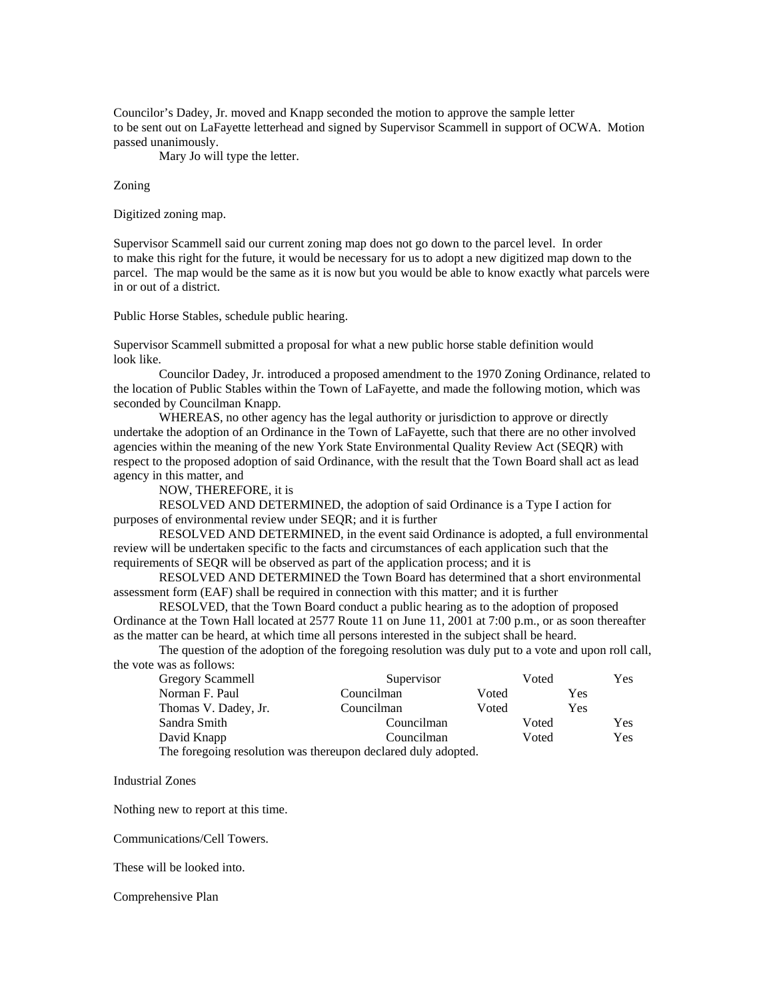Councilor's Dadey, Jr. moved and Knapp seconded the motion to approve the sample letter to be sent out on LaFayette letterhead and signed by Supervisor Scammell in support of OCWA. Motion passed unanimously.

Mary Jo will type the letter.

#### Zoning

Digitized zoning map.

Supervisor Scammell said our current zoning map does not go down to the parcel level. In order to make this right for the future, it would be necessary for us to adopt a new digitized map down to the parcel. The map would be the same as it is now but you would be able to know exactly what parcels were in or out of a district.

Public Horse Stables, schedule public hearing.

Supervisor Scammell submitted a proposal for what a new public horse stable definition would look like.

 Councilor Dadey, Jr. introduced a proposed amendment to the 1970 Zoning Ordinance, related to the location of Public Stables within the Town of LaFayette, and made the following motion, which was seconded by Councilman Knapp.

 WHEREAS, no other agency has the legal authority or jurisdiction to approve or directly undertake the adoption of an Ordinance in the Town of LaFayette, such that there are no other involved agencies within the meaning of the new York State Environmental Quality Review Act (SEQR) with respect to the proposed adoption of said Ordinance, with the result that the Town Board shall act as lead agency in this matter, and

NOW, THEREFORE, it is

 RESOLVED AND DETERMINED, the adoption of said Ordinance is a Type I action for purposes of environmental review under SEQR; and it is further

 RESOLVED AND DETERMINED, in the event said Ordinance is adopted, a full environmental review will be undertaken specific to the facts and circumstances of each application such that the requirements of SEQR will be observed as part of the application process; and it is

 RESOLVED AND DETERMINED the Town Board has determined that a short environmental assessment form (EAF) shall be required in connection with this matter; and it is further

 RESOLVED, that the Town Board conduct a public hearing as to the adoption of proposed Ordinance at the Town Hall located at 2577 Route 11 on June 11, 2001 at 7:00 p.m., or as soon thereafter as the matter can be heard, at which time all persons interested in the subject shall be heard.

 The question of the adoption of the foregoing resolution was duly put to a vote and upon roll call, the vote was as follows:

| Gregory Scammell                                              | Supervisor          |       | Voted |     | Yes |
|---------------------------------------------------------------|---------------------|-------|-------|-----|-----|
| Norman F. Paul                                                | Councilman          | Voted |       | Yes |     |
| Thomas V. Dadey, Jr.                                          | Councilman          | Voted |       | Yes |     |
| Sandra Smith                                                  | Councilman          |       | Voted |     | Yes |
| David Knapp                                                   | Councilman<br>Voted |       | Yes   |     |     |
| The foregoing resolution was thereupon declared duly adopted. |                     |       |       |     |     |

Industrial Zones

Nothing new to report at this time.

Communications/Cell Towers.

These will be looked into.

### Comprehensive Plan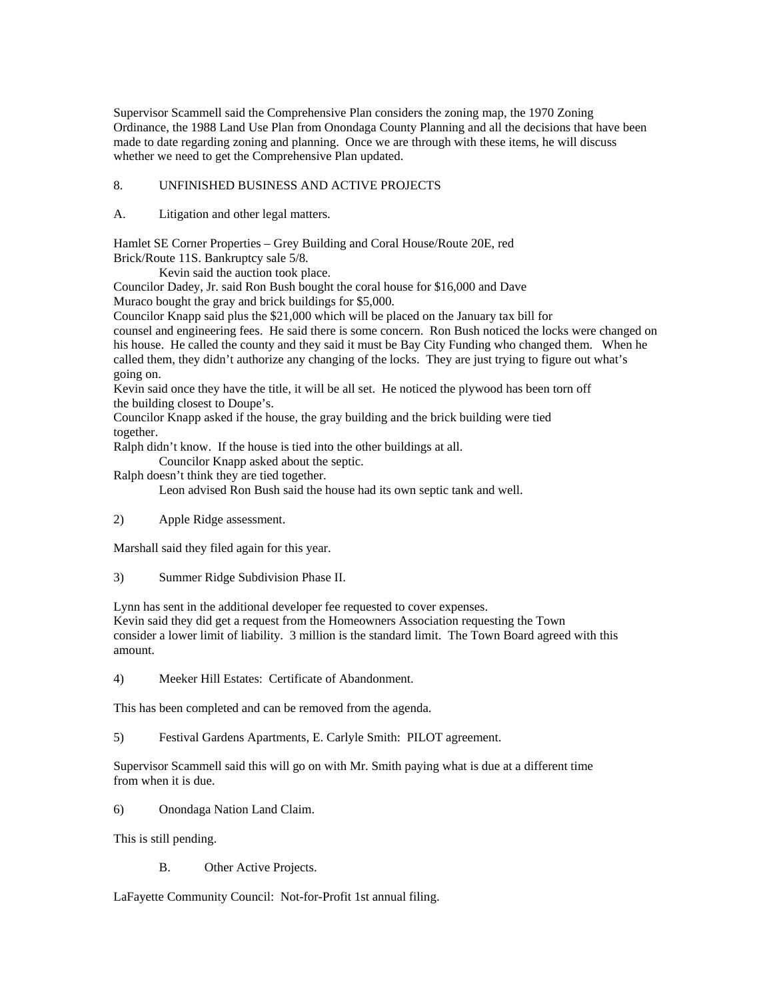Supervisor Scammell said the Comprehensive Plan considers the zoning map, the 1970 Zoning Ordinance, the 1988 Land Use Plan from Onondaga County Planning and all the decisions that have been made to date regarding zoning and planning. Once we are through with these items, he will discuss whether we need to get the Comprehensive Plan updated.

# 8. UNFINISHED BUSINESS AND ACTIVE PROJECTS

A. Litigation and other legal matters.

Hamlet SE Corner Properties – Grey Building and Coral House/Route 20E, red

Brick/Route 11S. Bankruptcy sale 5/8.

Kevin said the auction took place.

Councilor Dadey, Jr. said Ron Bush bought the coral house for \$16,000 and Dave Muraco bought the gray and brick buildings for \$5,000.

Councilor Knapp said plus the \$21,000 which will be placed on the January tax bill for

counsel and engineering fees. He said there is some concern. Ron Bush noticed the locks were changed on his house. He called the county and they said it must be Bay City Funding who changed them. When he called them, they didn't authorize any changing of the locks. They are just trying to figure out what's going on.

Kevin said once they have the title, it will be all set. He noticed the plywood has been torn off the building closest to Doupe's.

Councilor Knapp asked if the house, the gray building and the brick building were tied together.

Ralph didn't know. If the house is tied into the other buildings at all.

Councilor Knapp asked about the septic.

Ralph doesn't think they are tied together.

Leon advised Ron Bush said the house had its own septic tank and well.

2) Apple Ridge assessment.

Marshall said they filed again for this year.

3) Summer Ridge Subdivision Phase II.

Lynn has sent in the additional developer fee requested to cover expenses. Kevin said they did get a request from the Homeowners Association requesting the Town consider a lower limit of liability. 3 million is the standard limit. The Town Board agreed with this amount.

4) Meeker Hill Estates: Certificate of Abandonment.

This has been completed and can be removed from the agenda.

5) Festival Gardens Apartments, E. Carlyle Smith: PILOT agreement.

Supervisor Scammell said this will go on with Mr. Smith paying what is due at a different time from when it is due.

6) Onondaga Nation Land Claim.

This is still pending.

B. Other Active Projects.

LaFayette Community Council: Not-for-Profit 1st annual filing.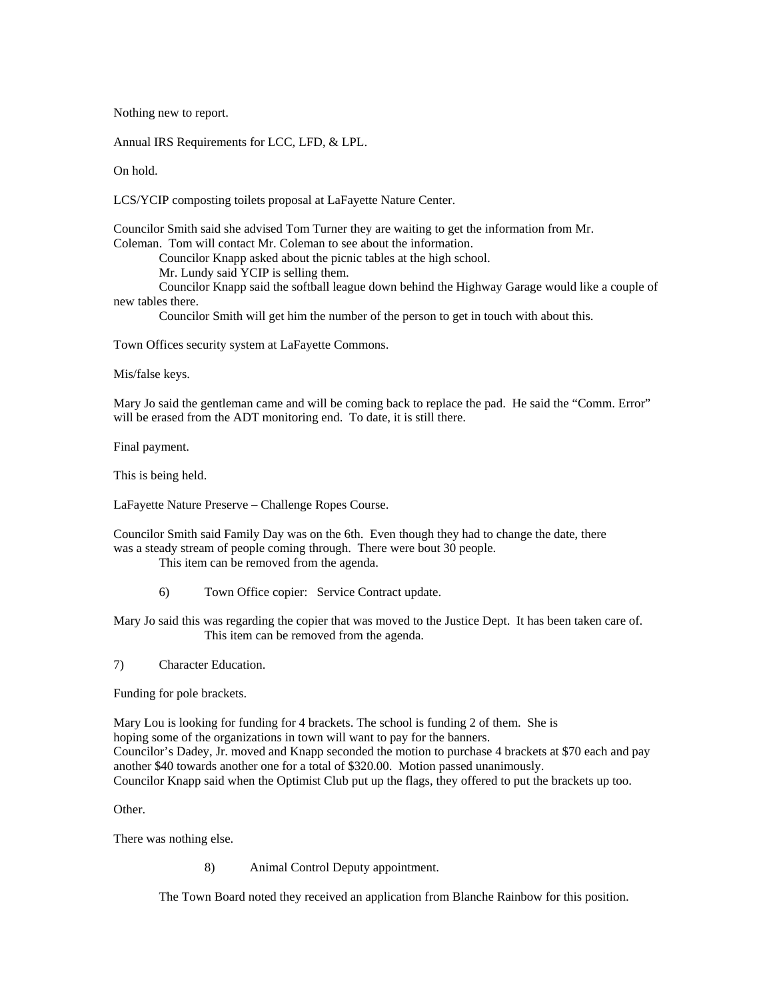Nothing new to report.

Annual IRS Requirements for LCC, LFD, & LPL.

On hold.

LCS/YCIP composting toilets proposal at LaFayette Nature Center.

Councilor Smith said she advised Tom Turner they are waiting to get the information from Mr. Coleman. Tom will contact Mr. Coleman to see about the information.

Councilor Knapp asked about the picnic tables at the high school.

Mr. Lundy said YCIP is selling them.

 Councilor Knapp said the softball league down behind the Highway Garage would like a couple of new tables there.

Councilor Smith will get him the number of the person to get in touch with about this.

Town Offices security system at LaFayette Commons.

Mis/false keys.

Mary Jo said the gentleman came and will be coming back to replace the pad. He said the "Comm. Error" will be erased from the ADT monitoring end. To date, it is still there.

Final payment.

This is being held.

LaFayette Nature Preserve – Challenge Ropes Course.

Councilor Smith said Family Day was on the 6th. Even though they had to change the date, there was a steady stream of people coming through. There were bout 30 people.

This item can be removed from the agenda.

6) Town Office copier: Service Contract update.

Mary Jo said this was regarding the copier that was moved to the Justice Dept. It has been taken care of. This item can be removed from the agenda.

7) Character Education.

Funding for pole brackets.

Mary Lou is looking for funding for 4 brackets. The school is funding 2 of them. She is hoping some of the organizations in town will want to pay for the banners. Councilor's Dadey, Jr. moved and Knapp seconded the motion to purchase 4 brackets at \$70 each and pay another \$40 towards another one for a total of \$320.00. Motion passed unanimously. Councilor Knapp said when the Optimist Club put up the flags, they offered to put the brackets up too.

# Other.

There was nothing else.

8) Animal Control Deputy appointment.

The Town Board noted they received an application from Blanche Rainbow for this position.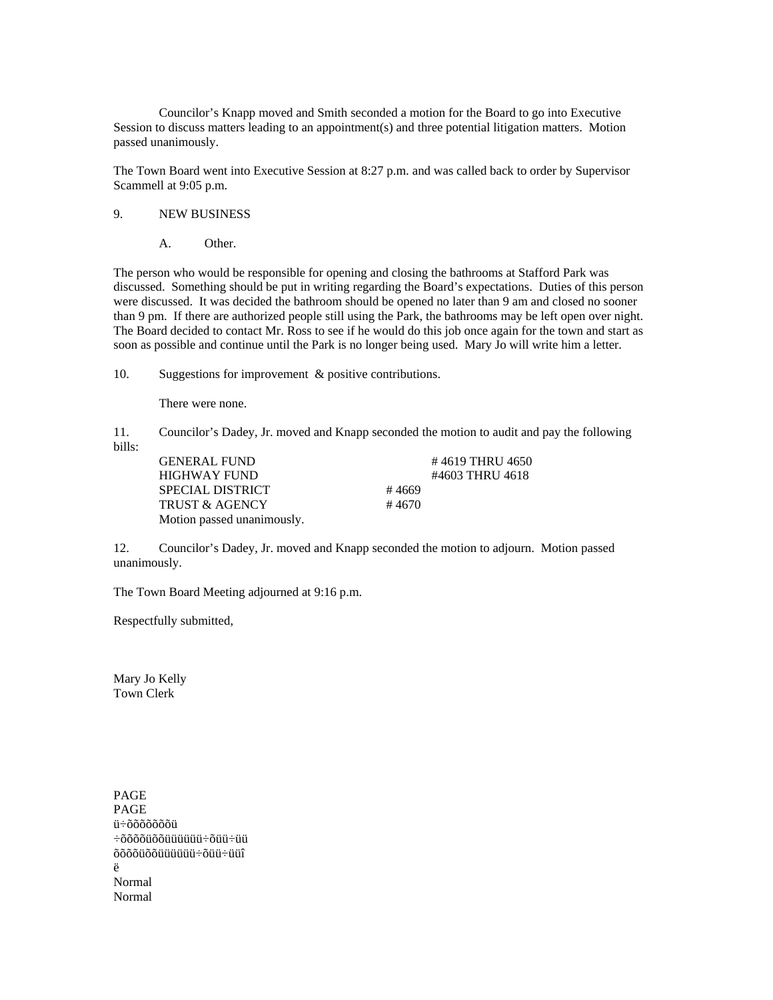Councilor's Knapp moved and Smith seconded a motion for the Board to go into Executive Session to discuss matters leading to an appointment(s) and three potential litigation matters. Motion passed unanimously.

The Town Board went into Executive Session at 8:27 p.m. and was called back to order by Supervisor Scammell at 9:05 p.m.

## 9. NEW BUSINESS

A. Other.

The person who would be responsible for opening and closing the bathrooms at Stafford Park was discussed. Something should be put in writing regarding the Board's expectations. Duties of this person were discussed. It was decided the bathroom should be opened no later than 9 am and closed no sooner than 9 pm. If there are authorized people still using the Park, the bathrooms may be left open over night. The Board decided to contact Mr. Ross to see if he would do this job once again for the town and start as soon as possible and continue until the Park is no longer being used. Mary Jo will write him a letter.

10. Suggestions for improvement & positive contributions.

There were none.

11. Councilor's Dadey, Jr. moved and Knapp seconded the motion to audit and pay the following bills:

| <b>GENERAL FUND</b>        |       | #4619 THRU 4650 |
|----------------------------|-------|-----------------|
| HIGHWAY FUND               |       | #4603 THRU 4618 |
| SPECIAL DISTRICT           | #4669 |                 |
| <b>TRUST &amp; AGENCY</b>  | #4670 |                 |
| Motion passed unanimously. |       |                 |

12. Councilor's Dadey, Jr. moved and Knapp seconded the motion to adjourn. Motion passed unanimously.

The Town Board Meeting adjourned at 9:16 p.m.

Respectfully submitted,

Mary Jo Kelly Town Clerk

PAGE PAGE ü÷õõõõõõõü ÷õõõõüõõüüüüüü÷õüü÷üü õõõõüõõüüüüüü÷õüü÷üüî ë Normal Normal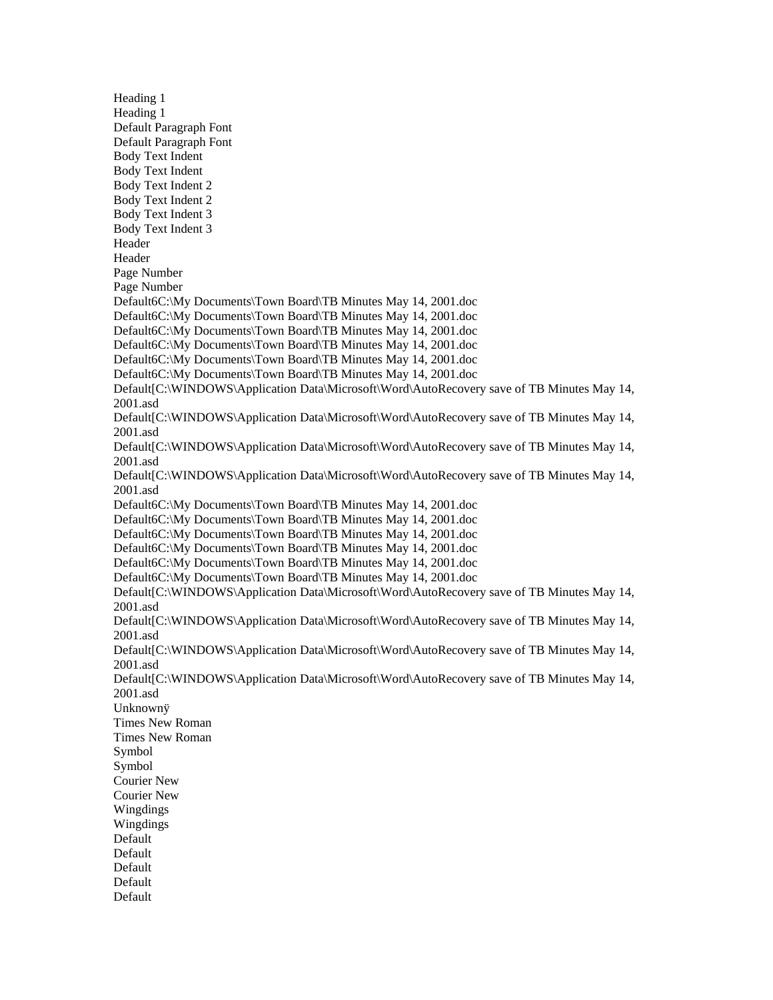Heading 1 Heading 1 Default Paragraph Font Default Paragraph Font Body Text Indent Body Text Indent Body Text Indent 2 Body Text Indent 2 Body Text Indent 3 Body Text Indent 3 Header Header Page Number Page Number Default6C:\My Documents\Town Board\TB Minutes May 14, 2001.doc Default6C:\My Documents\Town Board\TB Minutes May 14, 2001.doc Default6C:\My Documents\Town Board\TB Minutes May 14, 2001.doc Default6C:\My Documents\Town Board\TB Minutes May 14, 2001.doc Default6C:\My Documents\Town Board\TB Minutes May 14, 2001.doc Default6C:\My Documents\Town Board\TB Minutes May 14, 2001.doc Default[C:\WINDOWS\Application Data\Microsoft\Word\AutoRecovery save of TB Minutes May 14, 2001.asd Default[C:\WINDOWS\Application Data\Microsoft\Word\AutoRecovery save of TB Minutes May 14, 2001.asd Default[C:\WINDOWS\Application Data\Microsoft\Word\AutoRecovery save of TB Minutes May 14, 2001.asd Default[C:\WINDOWS\Application Data\Microsoft\Word\AutoRecovery save of TB Minutes May 14, 2001.asd Default6C:\My Documents\Town Board\TB Minutes May 14, 2001.doc Default6C:\My Documents\Town Board\TB Minutes May 14, 2001.doc Default6C:\My Documents\Town Board\TB Minutes May 14, 2001.doc Default6C:\My Documents\Town Board\TB Minutes May 14, 2001.doc Default6C:\My Documents\Town Board\TB Minutes May 14, 2001.doc Default6C:\My Documents\Town Board\TB Minutes May 14, 2001.doc Default[C:\WINDOWS\Application Data\Microsoft\Word\AutoRecovery save of TB Minutes May 14, 2001.asd Default[C:\WINDOWS\Application Data\Microsoft\Word\AutoRecovery save of TB Minutes May 14, 2001.asd Default[C:\WINDOWS\Application Data\Microsoft\Word\AutoRecovery save of TB Minutes May 14, 2001.asd Default[C:\WINDOWS\Application Data\Microsoft\Word\AutoRecovery save of TB Minutes May 14, 2001.asd Unknownÿ Times New Roman Times New Roman Symbol Symbol Courier New Courier New Wingdings Wingdings Default Default Default Default Default